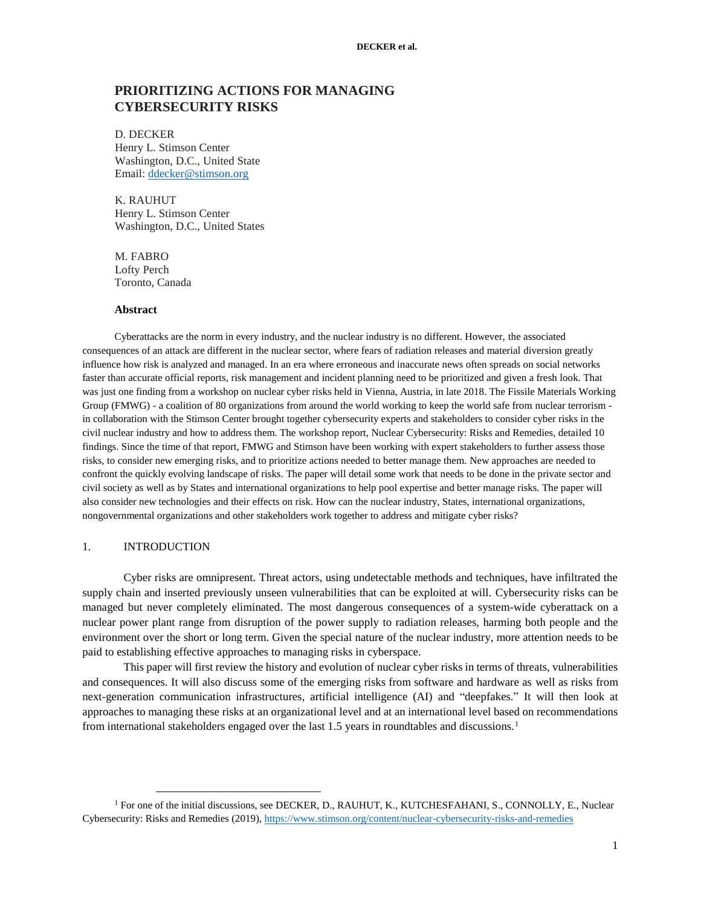# **PRIORITIZING ACTIONS FOR MANAGING CYBERSECURITY RISKS**

D. DECKER Henry L. Stimson Center Washington, D.C., United State Email: [ddecker@stimson.org](mailto:ddecker@stimson.org)

K. RAUHUT Henry L. Stimson Center Washington, D.C., United States

M. FABRO Lofty Perch Toronto, Canada

## **Abstract**

Cyberattacks are the norm in every industry, and the nuclear industry is no different. However, the associated consequences of an attack are different in the nuclear sector, where fears of radiation releases and material diversion greatly influence how risk is analyzed and managed. In an era where erroneous and inaccurate news often spreads on social networks faster than accurate official reports, risk management and incident planning need to be prioritized and given a fresh look. That was just one finding from a workshop on nuclear cyber risks held in Vienna, Austria, in late 2018. The Fissile Materials Working Group (FMWG) - a coalition of 80 organizations from around the world working to keep the world safe from nuclear terrorism in collaboration with the Stimson Center brought together cybersecurity experts and stakeholders to consider cyber risks in the civil nuclear industry and how to address them. The workshop report, Nuclear Cybersecurity: Risks and Remedies, detailed 10 findings. Since the time of that report, FMWG and Stimson have been working with expert stakeholders to further assess those risks, to consider new emerging risks, and to prioritize actions needed to better manage them. New approaches are needed to confront the quickly evolving landscape of risks. The paper will detail some work that needs to be done in the private sector and civil society as well as by States and international organizations to help pool expertise and better manage risks. The paper will also consider new technologies and their effects on risk. How can the nuclear industry, States, international organizations, nongovernmental organizations and other stakeholders work together to address and mitigate cyber risks?

## 1. INTRODUCTION

 $\overline{a}$ 

Cyber risks are omnipresent. Threat actors, using undetectable methods and techniques, have infiltrated the supply chain and inserted previously unseen vulnerabilities that can be exploited at will. Cybersecurity risks can be managed but never completely eliminated. The most dangerous consequences of a system-wide cyberattack on a nuclear power plant range from disruption of the power supply to radiation releases, harming both people and the environment over the short or long term. Given the special nature of the nuclear industry, more attention needs to be paid to establishing effective approaches to managing risks in cyberspace.

This paper will first review the history and evolution of nuclear cyber risks in terms of threats, vulnerabilities and consequences. It will also discuss some of the emerging risks from software and hardware as well as risks from next-generation communication infrastructures, artificial intelligence (AI) and "deepfakes." It will then look at approaches to managing these risks at an organizational level and at an international level based on recommendations from international stakeholders engaged over the last 1.5 years in roundtables and discussions.<sup>1</sup>

<sup>&</sup>lt;sup>1</sup> For one of the initial discussions, see DECKER, D., RAUHUT, K., KUTCHESFAHANI, S., CONNOLLY, E., Nuclear Cybersecurity: Risks and Remedies (2019),<https://www.stimson.org/content/nuclear-cybersecurity-risks-and-remedies>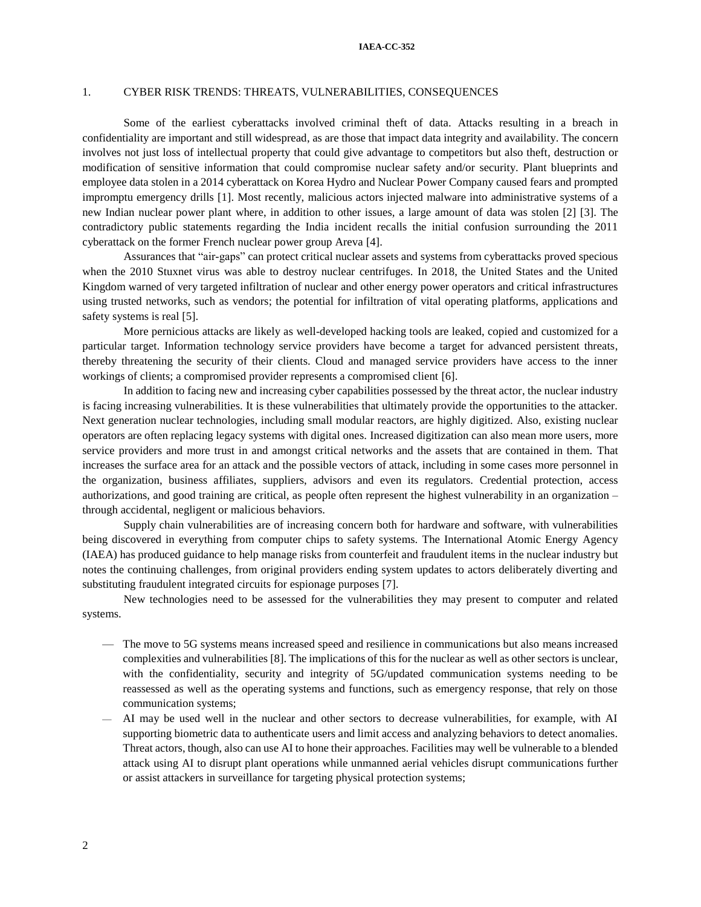## **IAEA-CC-352**

#### 1. CYBER RISK TRENDS: THREATS, VULNERABILITIES, CONSEQUENCES

Some of the earliest cyberattacks involved criminal theft of data. Attacks resulting in a breach in confidentiality are important and still widespread, as are those that impact data integrity and availability. The concern involves not just loss of intellectual property that could give advantage to competitors but also theft, destruction or modification of sensitive information that could compromise nuclear safety and/or security. Plant blueprints and employee data stolen in a 2014 cyberattack on Korea Hydro and Nuclear Power Company caused fears and prompted impromptu emergency drills [1]. Most recently, malicious actors injected malware into administrative systems of a new Indian nuclear power plant where, in addition to other issues, a large amount of data was stolen [2] [3]. The contradictory public statements regarding the India incident recalls the initial confusion surrounding the 2011 cyberattack on the former French nuclear power group Areva [4].

Assurances that "air-gaps" can protect critical nuclear assets and systems from cyberattacks proved specious when the 2010 Stuxnet virus was able to destroy nuclear centrifuges. In 2018, the United States and the United Kingdom warned of very targeted infiltration of nuclear and other energy power operators and critical infrastructures using trusted networks, such as vendors; the potential for infiltration of vital operating platforms, applications and safety systems is real [5].

More pernicious attacks are likely as well-developed hacking tools are leaked, copied and customized for a particular target. Information technology service providers have become a target for advanced persistent threats, thereby threatening the security of their clients. Cloud and managed service providers have access to the inner workings of clients; a compromised provider represents a compromised client [6].

In addition to facing new and increasing cyber capabilities possessed by the threat actor, the nuclear industry is facing increasing vulnerabilities. It is these vulnerabilities that ultimately provide the opportunities to the attacker. Next generation nuclear technologies, including small modular reactors, are highly digitized. Also, existing nuclear operators are often replacing legacy systems with digital ones. Increased digitization can also mean more users, more service providers and more trust in and amongst critical networks and the assets that are contained in them. That increases the surface area for an attack and the possible vectors of attack, including in some cases more personnel in the organization, business affiliates, suppliers, advisors and even its regulators. Credential protection, access authorizations, and good training are critical, as people often represent the highest vulnerability in an organization – through accidental, negligent or malicious behaviors.

Supply chain vulnerabilities are of increasing concern both for hardware and software, with vulnerabilities being discovered in everything from computer chips to safety systems. The International Atomic Energy Agency (IAEA) has produced guidance to help manage risks from counterfeit and fraudulent items in the nuclear industry but notes the continuing challenges, from original providers ending system updates to actors deliberately diverting and substituting fraudulent integrated circuits for espionage purposes [7].

New technologies need to be assessed for the vulnerabilities they may present to computer and related systems.

- The move to 5G systems means increased speed and resilience in communications but also means increased complexities and vulnerabilities [8]. The implications of this for the nuclear as well as other sectors is unclear, with the confidentiality, security and integrity of 5G/updated communication systems needing to be reassessed as well as the operating systems and functions, such as emergency response, that rely on those communication systems;
- AI may be used well in the nuclear and other sectors to decrease vulnerabilities, for example, with AI supporting biometric data to authenticate users and limit access and analyzing behaviors to detect anomalies. Threat actors, though, also can use AI to hone their approaches. Facilities may well be vulnerable to a blended attack using AI to disrupt plant operations while unmanned aerial vehicles disrupt communications further or assist attackers in surveillance for targeting physical protection systems;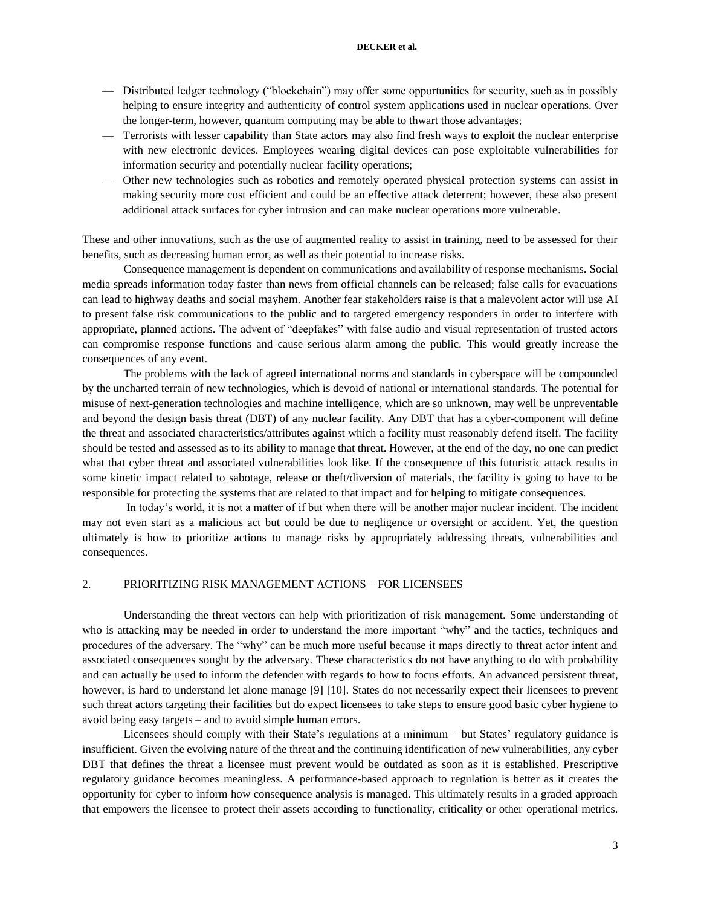#### **DECKER et al.**

- Distributed ledger technology ("blockchain") may offer some opportunities for security, such as in possibly helping to ensure integrity and authenticity of control system applications used in nuclear operations. Over the longer-term, however, quantum computing may be able to thwart those advantages;
- Terrorists with lesser capability than State actors may also find fresh ways to exploit the nuclear enterprise with new electronic devices. Employees wearing digital devices can pose exploitable vulnerabilities for information security and potentially nuclear facility operations;
- Other new technologies such as robotics and remotely operated physical protection systems can assist in making security more cost efficient and could be an effective attack deterrent; however, these also present additional attack surfaces for cyber intrusion and can make nuclear operations more vulnerable.

These and other innovations, such as the use of augmented reality to assist in training, need to be assessed for their benefits, such as decreasing human error, as well as their potential to increase risks.

Consequence management is dependent on communications and availability of response mechanisms. Social media spreads information today faster than news from official channels can be released; false calls for evacuations can lead to highway deaths and social mayhem. Another fear stakeholders raise is that a malevolent actor will use AI to present false risk communications to the public and to targeted emergency responders in order to interfere with appropriate, planned actions. The advent of "deepfakes" with false audio and visual representation of trusted actors can compromise response functions and cause serious alarm among the public. This would greatly increase the consequences of any event.

The problems with the lack of agreed international norms and standards in cyberspace will be compounded by the uncharted terrain of new technologies, which is devoid of national or international standards. The potential for misuse of next-generation technologies and machine intelligence, which are so unknown, may well be unpreventable and beyond the design basis threat (DBT) of any nuclear facility. Any DBT that has a cyber-component will define the threat and associated characteristics/attributes against which a facility must reasonably defend itself. The facility should be tested and assessed as to its ability to manage that threat. However, at the end of the day, no one can predict what that cyber threat and associated vulnerabilities look like. If the consequence of this futuristic attack results in some kinetic impact related to sabotage, release or theft/diversion of materials, the facility is going to have to be responsible for protecting the systems that are related to that impact and for helping to mitigate consequences.

In today's world, it is not a matter of if but when there will be another major nuclear incident. The incident may not even start as a malicious act but could be due to negligence or oversight or accident. Yet, the question ultimately is how to prioritize actions to manage risks by appropriately addressing threats, vulnerabilities and consequences.

## 2. PRIORITIZING RISK MANAGEMENT ACTIONS – FOR LICENSEES

Understanding the threat vectors can help with prioritization of risk management. Some understanding of who is attacking may be needed in order to understand the more important "why" and the tactics, techniques and procedures of the adversary. The "why" can be much more useful because it maps directly to threat actor intent and associated consequences sought by the adversary. These characteristics do not have anything to do with probability and can actually be used to inform the defender with regards to how to focus efforts. An advanced persistent threat, however, is hard to understand let alone manage [9] [10]. States do not necessarily expect their licensees to prevent such threat actors targeting their facilities but do expect licensees to take steps to ensure good basic cyber hygiene to avoid being easy targets – and to avoid simple human errors.

Licensees should comply with their State's regulations at a minimum – but States' regulatory guidance is insufficient. Given the evolving nature of the threat and the continuing identification of new vulnerabilities, any cyber DBT that defines the threat a licensee must prevent would be outdated as soon as it is established. Prescriptive regulatory guidance becomes meaningless. A performance-based approach to regulation is better as it creates the opportunity for cyber to inform how consequence analysis is managed. This ultimately results in a graded approach that empowers the licensee to protect their assets according to functionality, criticality or other operational metrics.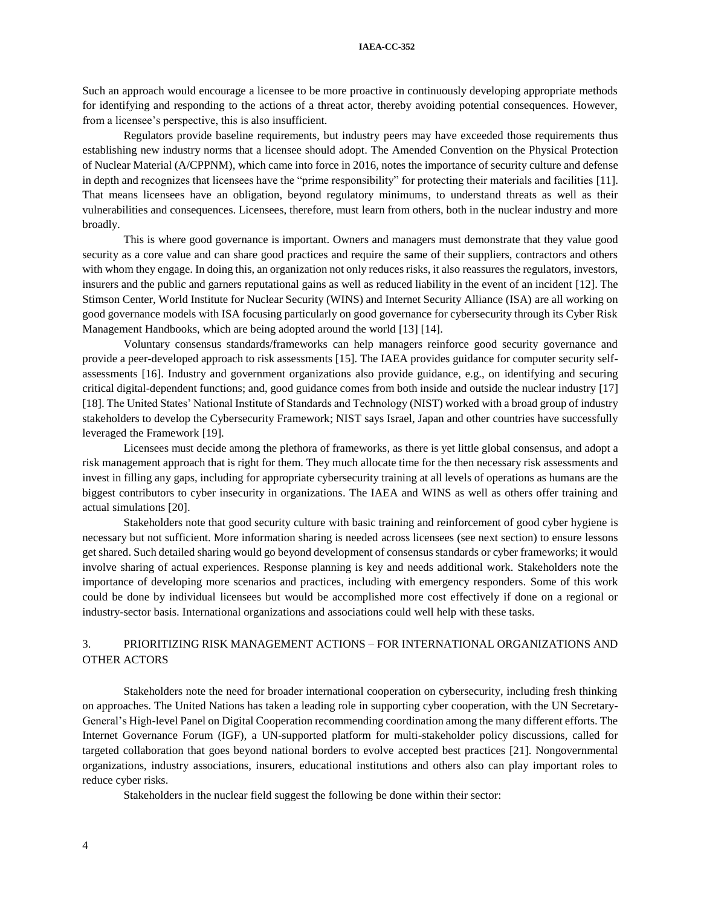#### **IAEA-CC-352**

Such an approach would encourage a licensee to be more proactive in continuously developing appropriate methods for identifying and responding to the actions of a threat actor, thereby avoiding potential consequences. However, from a licensee's perspective, this is also insufficient.

Regulators provide baseline requirements, but industry peers may have exceeded those requirements thus establishing new industry norms that a licensee should adopt. The Amended Convention on the Physical Protection of Nuclear Material (A/CPPNM), which came into force in 2016, notes the importance of security culture and defense in depth and recognizes that licensees have the "prime responsibility" for protecting their materials and facilities [11]. That means licensees have an obligation, beyond regulatory minimums, to understand threats as well as their vulnerabilities and consequences. Licensees, therefore, must learn from others, both in the nuclear industry and more broadly.

This is where good governance is important. Owners and managers must demonstrate that they value good security as a core value and can share good practices and require the same of their suppliers, contractors and others with whom they engage. In doing this, an organization not only reduces risks, it also reassures the regulators, investors, insurers and the public and garners reputational gains as well as reduced liability in the event of an incident [12]. The Stimson Center, World Institute for Nuclear Security (WINS) and Internet Security Alliance (ISA) are all working on good governance models with ISA focusing particularly on good governance for cybersecurity through its Cyber Risk Management Handbooks, which are being adopted around the world [13] [14].

Voluntary consensus standards/frameworks can help managers reinforce good security governance and provide a peer-developed approach to risk assessments [15]. The IAEA provides guidance for computer security selfassessments [16]. Industry and government organizations also provide guidance, e.g., on identifying and securing critical digital-dependent functions; and, good guidance comes from both inside and outside the nuclear industry [17] [18]. The United States' National Institute of Standards and Technology (NIST) worked with a broad group of industry stakeholders to develop the Cybersecurity Framework; NIST says Israel, Japan and other countries have successfully leveraged the Framework [19].

Licensees must decide among the plethora of frameworks, as there is yet little global consensus, and adopt a risk management approach that is right for them. They much allocate time for the then necessary risk assessments and invest in filling any gaps, including for appropriate cybersecurity training at all levels of operations as humans are the biggest contributors to cyber insecurity in organizations. The IAEA and WINS as well as others offer training and actual simulations [20].

Stakeholders note that good security culture with basic training and reinforcement of good cyber hygiene is necessary but not sufficient. More information sharing is needed across licensees (see next section) to ensure lessons get shared. Such detailed sharing would go beyond development of consensus standards or cyber frameworks; it would involve sharing of actual experiences. Response planning is key and needs additional work. Stakeholders note the importance of developing more scenarios and practices, including with emergency responders. Some of this work could be done by individual licensees but would be accomplished more cost effectively if done on a regional or industry-sector basis. International organizations and associations could well help with these tasks.

## 3. PRIORITIZING RISK MANAGEMENT ACTIONS – FOR INTERNATIONAL ORGANIZATIONS AND OTHER ACTORS

Stakeholders note the need for broader international cooperation on cybersecurity, including fresh thinking on approaches. The United Nations has taken a leading role in supporting cyber cooperation, with the UN Secretary-General's High-level Panel on Digital Cooperation recommending coordination among the many different efforts. The Internet Governance Forum (IGF), a UN-supported platform for multi-stakeholder policy discussions, called for targeted collaboration that goes beyond national borders to evolve accepted best practices [21]. Nongovernmental organizations, industry associations, insurers, educational institutions and others also can play important roles to reduce cyber risks.

Stakeholders in the nuclear field suggest the following be done within their sector: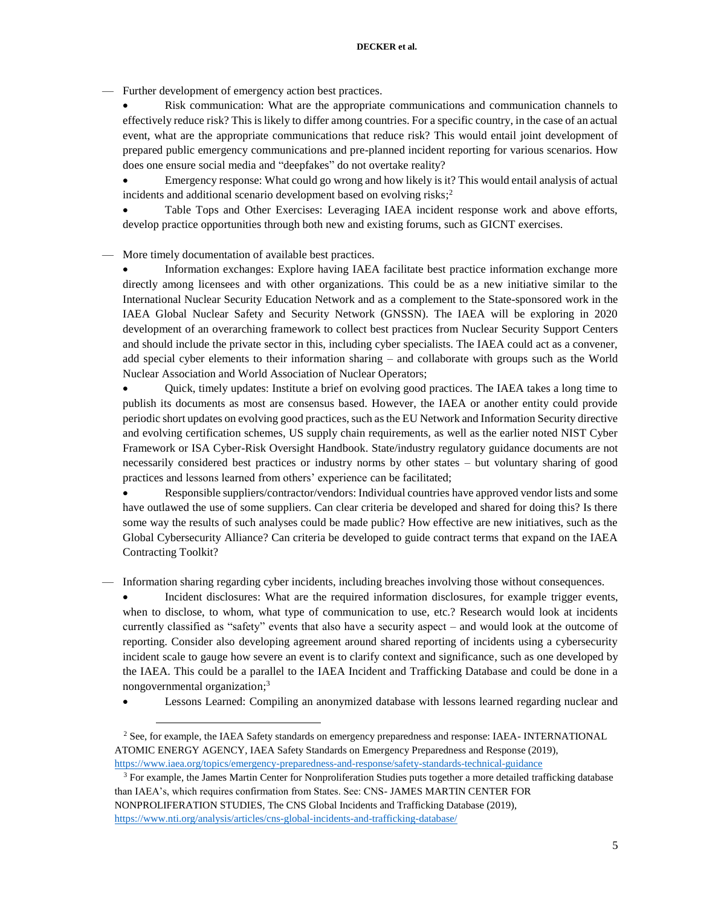— Further development of emergency action best practices.

 Risk communication: What are the appropriate communications and communication channels to effectively reduce risk? This is likely to differ among countries. For a specific country, in the case of an actual event, what are the appropriate communications that reduce risk? This would entail joint development of prepared public emergency communications and pre-planned incident reporting for various scenarios. How does one ensure social media and "deepfakes" do not overtake reality?

 Emergency response: What could go wrong and how likely is it? This would entail analysis of actual incidents and additional scenario development based on evolving risks; 2

 Table Tops and Other Exercises: Leveraging IAEA incident response work and above efforts, develop practice opportunities through both new and existing forums, such as GICNT exercises.

More timely documentation of available best practices.

 Information exchanges: Explore having IAEA facilitate best practice information exchange more directly among licensees and with other organizations. This could be as a new initiative similar to the International Nuclear Security Education Network and as a complement to the State-sponsored work in the IAEA Global Nuclear Safety and Security Network (GNSSN). The IAEA will be exploring in 2020 development of an overarching framework to collect best practices from Nuclear Security Support Centers and should include the private sector in this, including cyber specialists. The IAEA could act as a convener, add special cyber elements to their information sharing – and collaborate with groups such as the World Nuclear Association and World Association of Nuclear Operators;

 Quick, timely updates: Institute a brief on evolving good practices. The IAEA takes a long time to publish its documents as most are consensus based. However, the IAEA or another entity could provide periodic short updates on evolving good practices, such as the EU Network and Information Security directive and evolving certification schemes, US supply chain requirements, as well as the earlier noted NIST Cyber Framework or ISA Cyber-Risk Oversight Handbook. State/industry regulatory guidance documents are not necessarily considered best practices or industry norms by other states – but voluntary sharing of good practices and lessons learned from others' experience can be facilitated;

 Responsible suppliers/contractor/vendors: Individual countries have approved vendor lists and some have outlawed the use of some suppliers. Can clear criteria be developed and shared for doing this? Is there some way the results of such analyses could be made public? How effective are new initiatives, such as the Global Cybersecurity Alliance? Can criteria be developed to guide contract terms that expand on the IAEA Contracting Toolkit?

— Information sharing regarding cyber incidents, including breaches involving those without consequences.

 Incident disclosures: What are the required information disclosures, for example trigger events, when to disclose, to whom, what type of communication to use, etc.? Research would look at incidents currently classified as "safety" events that also have a security aspect – and would look at the outcome of reporting. Consider also developing agreement around shared reporting of incidents using a cybersecurity incident scale to gauge how severe an event is to clarify context and significance, such as one developed by the IAEA. This could be a parallel to the IAEA Incident and Trafficking Database and could be done in a nongovernmental organization; 3

Lessons Learned: Compiling an anonymized database with lessons learned regarding nuclear and

 $\overline{a}$ 

<sup>&</sup>lt;sup>2</sup> See, for example, the IAEA Safety standards on emergency preparedness and response: IAEA- INTERNATIONAL ATOMIC ENERGY AGENCY, IAEA Safety Standards on Emergency Preparedness and Response (2019), <https://www.iaea.org/topics/emergency-preparedness-and-response/safety-standards-technical-guidance>

 $3$  For example, the James Martin Center for Nonproliferation Studies puts together a more detailed trafficking database than IAEA's, which requires confirmation from States. See: CNS- JAMES MARTIN CENTER FOR NONPROLIFERATION STUDIES, The CNS Global Incidents and Trafficking Database (2019),

<https://www.nti.org/analysis/articles/cns-global-incidents-and-trafficking-database/>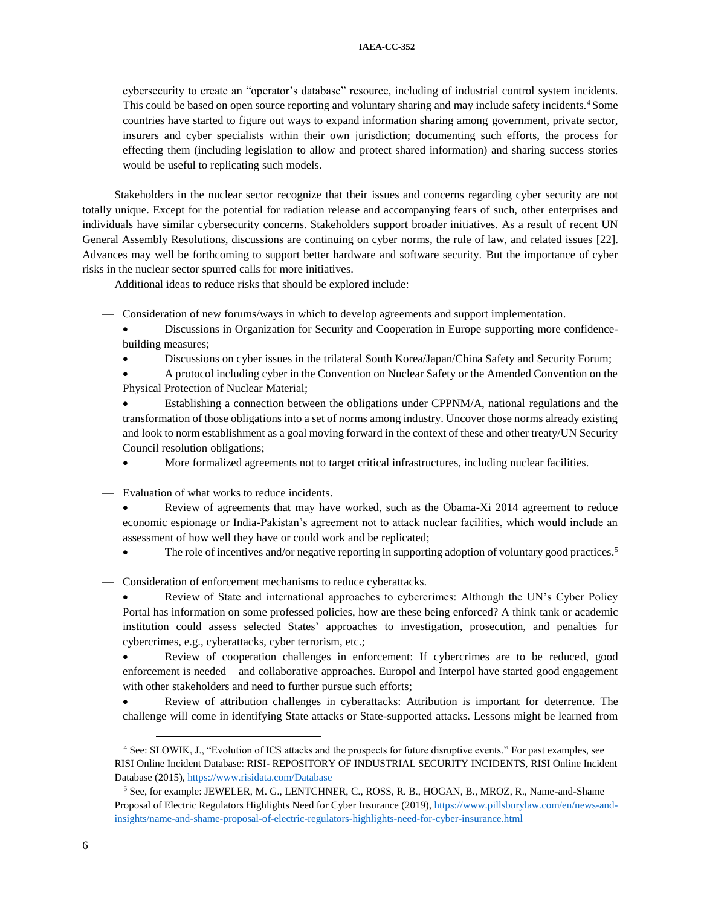cybersecurity to create an "operator's database" resource, including of industrial control system incidents. This could be based on open source reporting and voluntary sharing and may include safety incidents.<sup>4</sup> Some countries have started to figure out ways to expand information sharing among government, private sector, insurers and cyber specialists within their own jurisdiction; documenting such efforts, the process for effecting them (including legislation to allow and protect shared information) and sharing success stories would be useful to replicating such models.

Stakeholders in the nuclear sector recognize that their issues and concerns regarding cyber security are not totally unique. Except for the potential for radiation release and accompanying fears of such, other enterprises and individuals have similar cybersecurity concerns. Stakeholders support broader initiatives. As a result of recent UN General Assembly Resolutions, discussions are continuing on cyber norms, the rule of law, and related issues [22]. Advances may well be forthcoming to support better hardware and software security. But the importance of cyber risks in the nuclear sector spurred calls for more initiatives.

Additional ideas to reduce risks that should be explored include:

— Consideration of new forums/ways in which to develop agreements and support implementation.

- Discussions in Organization for Security and Cooperation in Europe supporting more confidencebuilding measures;
- Discussions on cyber issues in the trilateral South Korea/Japan/China Safety and Security Forum;
- A protocol including cyber in the Convention on Nuclear Safety or the Amended Convention on the Physical Protection of Nuclear Material;

 Establishing a connection between the obligations under CPPNM/A, national regulations and the transformation of those obligations into a set of norms among industry. Uncover those norms already existing and look to norm establishment as a goal moving forward in the context of these and other treaty/UN Security Council resolution obligations;

More formalized agreements not to target critical infrastructures, including nuclear facilities.

— Evaluation of what works to reduce incidents.

- Review of agreements that may have worked, such as the Obama-Xi 2014 agreement to reduce economic espionage or India-Pakistan's agreement not to attack nuclear facilities, which would include an assessment of how well they have or could work and be replicated;
- The role of incentives and/or negative reporting in supporting adoption of voluntary good practices.<sup>5</sup>

— Consideration of enforcement mechanisms to reduce cyberattacks.

 Review of State and international approaches to cybercrimes: Although the UN's Cyber Policy Portal has information on some professed policies, how are these being enforced? A think tank or academic institution could assess selected States' approaches to investigation, prosecution, and penalties for cybercrimes, e.g., cyberattacks, cyber terrorism, etc.;

 Review of cooperation challenges in enforcement: If cybercrimes are to be reduced, good enforcement is needed – and collaborative approaches. Europol and Interpol have started good engagement with other stakeholders and need to further pursue such efforts;

 Review of attribution challenges in cyberattacks: Attribution is important for deterrence. The challenge will come in identifying State attacks or State-supported attacks. Lessons might be learned from

 $\overline{a}$ 

<sup>4</sup> See: SLOWIK, J., "Evolution of ICS attacks and the prospects for future disruptive events." For past examples, see RISI Online Incident Database: RISI- REPOSITORY OF INDUSTRIAL SECURITY INCIDENTS, RISI Online Incident Database (2015), <https://www.risidata.com/Database>

<sup>5</sup> See, for example: JEWELER, M. G., LENTCHNER, C., ROSS, R. B., HOGAN, B., MROZ, R., Name-and-Shame Proposal of Electric Regulators Highlights Need for Cyber Insurance (2019), [https://www.pillsburylaw.com/en/news-and](https://www.pillsburylaw.com/en/news-and-insights/name-and-shame-proposal-of-electric-regulators-highlights-need-for-cyber-insurance.html)[insights/name-and-shame-proposal-of-electric-regulators-highlights-need-for-cyber-insurance.html](https://www.pillsburylaw.com/en/news-and-insights/name-and-shame-proposal-of-electric-regulators-highlights-need-for-cyber-insurance.html)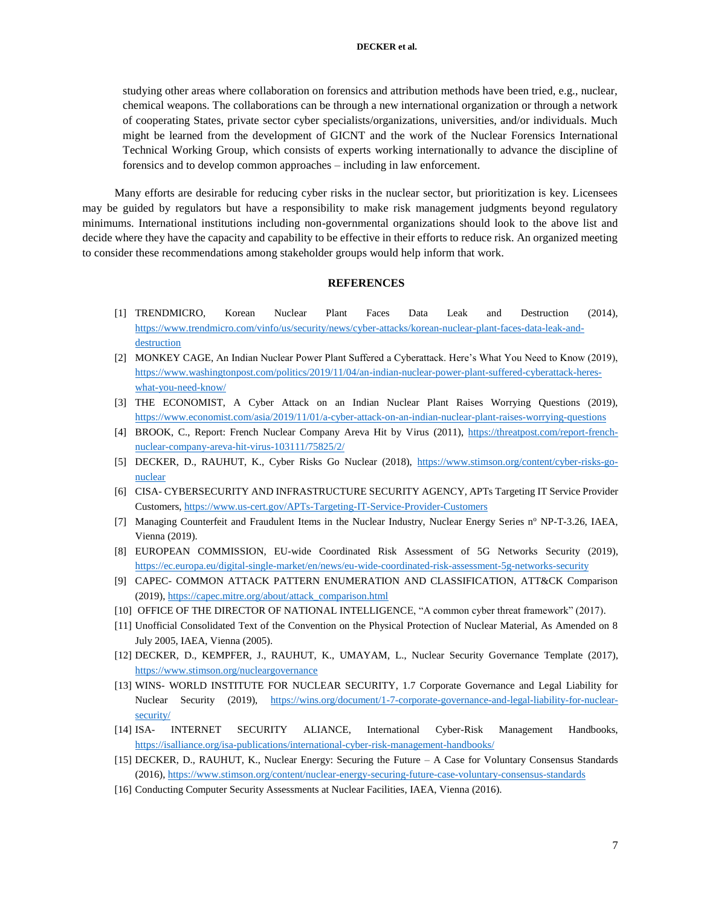studying other areas where collaboration on forensics and attribution methods have been tried, e.g., nuclear, chemical weapons. The collaborations can be through a new international organization or through a network of cooperating States, private sector cyber specialists/organizations, universities, and/or individuals. Much might be learned from the development of GICNT and the work of the Nuclear Forensics International Technical Working Group, which consists of experts working internationally to advance the discipline of forensics and to develop common approaches – including in law enforcement.

Many efforts are desirable for reducing cyber risks in the nuclear sector, but prioritization is key. Licensees may be guided by regulators but have a responsibility to make risk management judgments beyond regulatory minimums. International institutions including non-governmental organizations should look to the above list and decide where they have the capacity and capability to be effective in their efforts to reduce risk. An organized meeting to consider these recommendations among stakeholder groups would help inform that work.

#### **REFERENCES**

- [1] TRENDMICRO, Korean Nuclear Plant Faces Data Leak and Destruction (2014), [https://www.trendmicro.com/vinfo/us/security/news/cyber-attacks/korean-nuclear-plant-faces-data-leak-and](https://www.trendmicro.com/vinfo/us/security/news/cyber-attacks/korean-nuclear-plant-faces-data-leak-and-destruction)[destruction](https://www.trendmicro.com/vinfo/us/security/news/cyber-attacks/korean-nuclear-plant-faces-data-leak-and-destruction)
- [2] MONKEY CAGE, An Indian Nuclear Power Plant Suffered a Cyberattack. Here's What You Need to Know (2019), [https://www.washingtonpost.com/politics/2019/11/04/an-indian-nuclear-power-plant-suffered-cyberattack-heres](https://www.washingtonpost.com/politics/2019/11/04/an-indian-nuclear-power-plant-suffered-cyberattack-heres-what-you-need-know/)[what-you-need-know/](https://www.washingtonpost.com/politics/2019/11/04/an-indian-nuclear-power-plant-suffered-cyberattack-heres-what-you-need-know/)
- [3] THE ECONOMIST, A Cyber Attack on an Indian Nuclear Plant Raises Worrying Questions (2019), <https://www.economist.com/asia/2019/11/01/a-cyber-attack-on-an-indian-nuclear-plant-raises-worrying-questions>
- [4] BROOK, C., Report: French Nuclear Company Areva Hit by Virus (2011), [https://threatpost.com/report-french](https://threatpost.com/report-french-nuclear-company-areva-hit-virus-103111/75825/2/)[nuclear-company-areva-hit-virus-103111/75825/2/](https://threatpost.com/report-french-nuclear-company-areva-hit-virus-103111/75825/2/)
- [5] DECKER, D., RAUHUT, K., Cyber Risks Go Nuclear (2018), [https://www.stimson.org/content/cyber-risks-go](https://www.stimson.org/content/cyber-risks-go-nuclear)[nuclear](https://www.stimson.org/content/cyber-risks-go-nuclear)
- [6] CISA- CYBERSECURITY AND INFRASTRUCTURE SECURITY AGENCY, APTs Targeting IT Service Provider Customers,<https://www.us-cert.gov/APTs-Targeting-IT-Service-Provider-Customers>
- [7] Managing Counterfeit and Fraudulent Items in the Nuclear Industry, Nuclear Energy Series nº NP-T-3.26, IAEA, Vienna (2019).
- [8] EUROPEAN COMMISSION, EU-wide Coordinated Risk Assessment of 5G Networks Security (2019), <https://ec.europa.eu/digital-single-market/en/news/eu-wide-coordinated-risk-assessment-5g-networks-security>
- [9] CAPEC- COMMON ATTACK PATTERN ENUMERATION AND CLASSIFICATION, ATT&CK Comparison (2019)[, https://capec.mitre.org/about/attack\\_comparison.html](https://capec.mitre.org/about/attack_comparison.html)
- [10] OFFICE OF THE DIRECTOR OF NATIONAL INTELLIGENCE, "A common cyber threat framework" (2017).
- [11] Unofficial Consolidated Text of the Convention on the Physical Protection of Nuclear Material, As Amended on 8 July 2005, IAEA, Vienna (2005).
- [12] DECKER, D., KEMPFER, J., RAUHUT, K., UMAYAM, L., Nuclear Security Governance Template (2017), <https://www.stimson.org/nucleargovernance>
- [13] WINS- WORLD INSTITUTE FOR NUCLEAR SECURITY, 1.7 Corporate Governance and Legal Liability for Nuclear Security (2019), [https://wins.org/document/1-7-corporate-governance-and-legal-liability-for-nuclear](https://wins.org/document/1-7-corporate-governance-and-legal-liability-for-nuclear-security/)[security/](https://wins.org/document/1-7-corporate-governance-and-legal-liability-for-nuclear-security/)
- [14] ISA- INTERNET SECURITY ALIANCE, International Cyber-Risk Management Handbooks, <https://isalliance.org/isa-publications/international-cyber-risk-management-handbooks/>
- [15] DECKER, D., RAUHUT, K., Nuclear Energy: Securing the Future A Case for Voluntary Consensus Standards (2016)[, https://www.stimson.org/content/nuclear-energy-securing-future-case-voluntary-consensus-standards](https://www.stimson.org/content/nuclear-energy-securing-future-case-voluntary-consensus-standards)
- [16] Conducting Computer Security Assessments at Nuclear Facilities, IAEA, Vienna (2016).